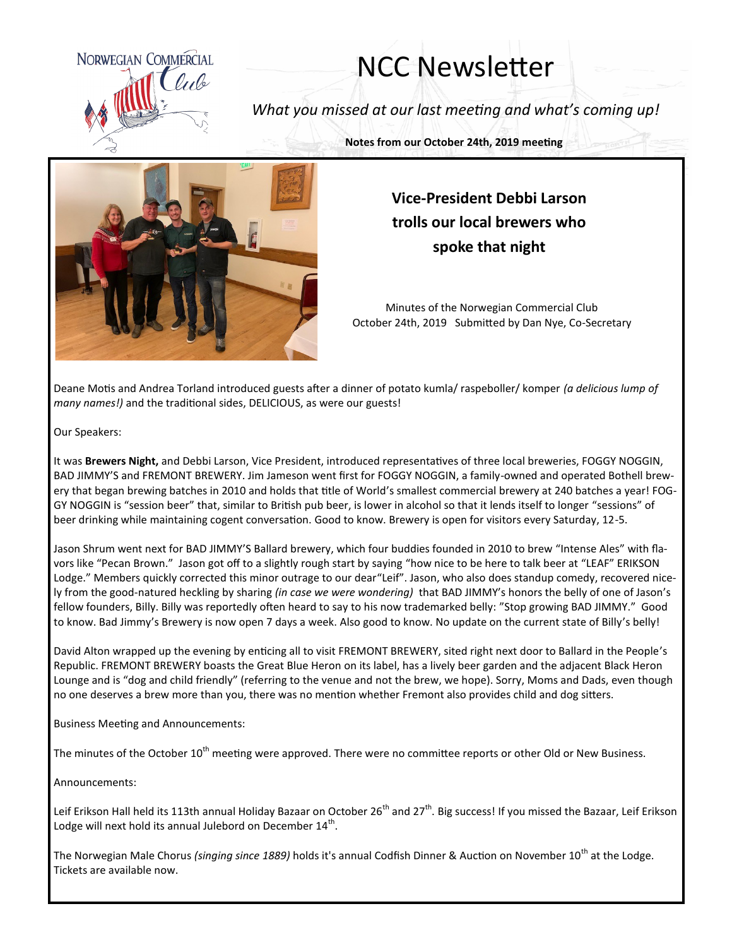

## NCC Newsletter

*What you missed at our last meeting and what's coming up!*

**Notes from our October 24th, 2019 meeting**



## **Vice-President Debbi Larson trolls our local brewers who spoke that night**

Minutes of the Norwegian Commercial Club October 24th, 2019 Submitted by Dan Nye, Co-Secretary

Deane Motis and Andrea Torland introduced guests after a dinner of potato kumla/ raspeboller/ komper *(a delicious lump of many names!)* and the traditional sides, DELICIOUS, as were our guests!

Our Speakers:

It was **Brewers Night,** and Debbi Larson, Vice President, introduced representatives of three local breweries, FOGGY NOGGIN, BAD JIMMY'S and FREMONT BREWERY. Jim Jameson went first for FOGGY NOGGIN, a family-owned and operated Bothell brewery that began brewing batches in 2010 and holds that title of World's smallest commercial brewery at 240 batches a year! FOG-GY NOGGIN is "session beer" that, similar to British pub beer, is lower in alcohol so that it lends itself to longer "sessions" of beer drinking while maintaining cogent conversation. Good to know. Brewery is open for visitors every Saturday, 12-5.

Jason Shrum went next for BAD JIMMY'S Ballard brewery, which four buddies founded in 2010 to brew "Intense Ales" with flavors like "Pecan Brown." Jason got off to a slightly rough start by saying "how nice to be here to talk beer at "LEAF" ERIKSON Lodge." Members quickly corrected this minor outrage to our dear"Leif". Jason, who also does standup comedy, recovered nicely from the good-natured heckling by sharing *(in case we were wondering)* that BAD JIMMY's honors the belly of one of Jason's fellow founders, Billy. Billy was reportedly often heard to say to his now trademarked belly: "Stop growing BAD JIMMY." Good to know. Bad Jimmy's Brewery is now open 7 days a week. Also good to know. No update on the current state of Billy's belly!

David Alton wrapped up the evening by enticing all to visit FREMONT BREWERY, sited right next door to Ballard in the People's Republic. FREMONT BREWERY boasts the Great Blue Heron on its label, has a lively beer garden and the adjacent Black Heron Lounge and is "dog and child friendly" (referring to the venue and not the brew, we hope). Sorry, Moms and Dads, even though no one deserves a brew more than you, there was no mention whether Fremont also provides child and dog sitters.

Business Meeting and Announcements:

The minutes of the October 10<sup>th</sup> meeting were approved. There were no committee reports or other Old or New Business.

Announcements:

Leif Erikson Hall held its 113th annual Holiday Bazaar on October 26<sup>th</sup> and 27<sup>th</sup>. Big success! If you missed the Bazaar, Leif Erikson Lodge will next hold its annual Julebord on December  $14^{\text{th}}$ .

The Norwegian Male Chorus *(singing since 1889)* holds it's annual Codfish Dinner & Auction on November 10<sup>th</sup> at the Lodge. Tickets are available now.